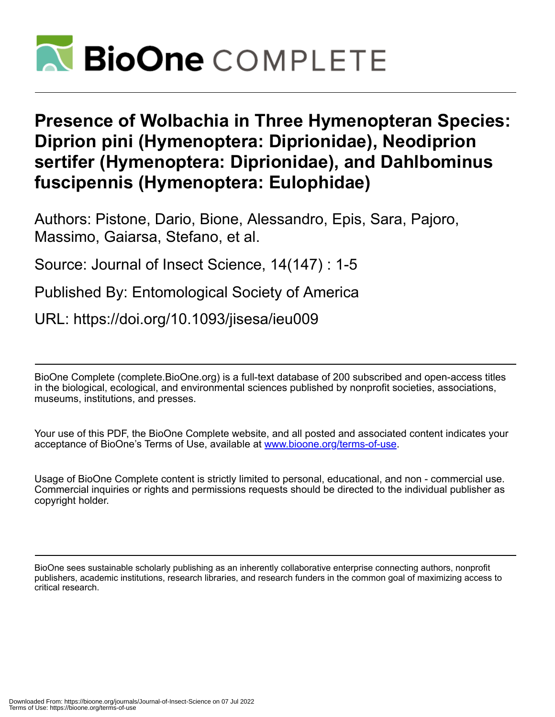

# **Presence of Wolbachia in Three Hymenopteran Species: Diprion pini (Hymenoptera: Diprionidae), Neodiprion sertifer (Hymenoptera: Diprionidae), and Dahlbominus fuscipennis (Hymenoptera: Eulophidae)**

Authors: Pistone, Dario, Bione, Alessandro, Epis, Sara, Pajoro, Massimo, Gaiarsa, Stefano, et al.

Source: Journal of Insect Science, 14(147) : 1-5

Published By: Entomological Society of America

URL: https://doi.org/10.1093/jisesa/ieu009

BioOne Complete (complete.BioOne.org) is a full-text database of 200 subscribed and open-access titles in the biological, ecological, and environmental sciences published by nonprofit societies, associations, museums, institutions, and presses.

Your use of this PDF, the BioOne Complete website, and all posted and associated content indicates your acceptance of BioOne's Terms of Use, available at www.bioone.org/terms-of-use.

Usage of BioOne Complete content is strictly limited to personal, educational, and non - commercial use. Commercial inquiries or rights and permissions requests should be directed to the individual publisher as copyright holder.

BioOne sees sustainable scholarly publishing as an inherently collaborative enterprise connecting authors, nonprofit publishers, academic institutions, research libraries, and research funders in the common goal of maximizing access to critical research.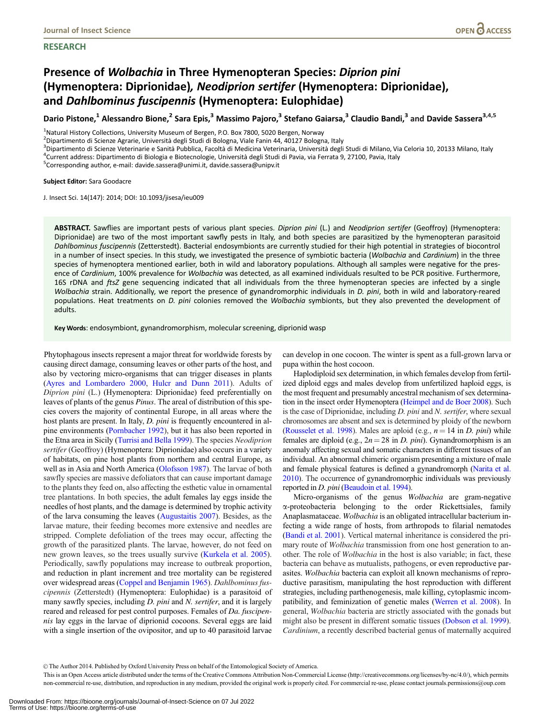#### **RESEARCH**

## Presence of Wolbachia in Three Hymenopteran Species: Diprion pini (Hymenoptera: Diprionidae), Neodiprion sertifer (Hymenoptera: Diprionidae), and Dahlbominus fuscipennis (Hymenoptera: Eulophidae)

Dario Pistone,<sup>1</sup> Alessandro Bione,<sup>2</sup> Sara Epis,<sup>3</sup> Massimo Pajoro,<sup>3</sup> Stefano Gaiarsa,<sup>3</sup> Claudio Bandi,<sup>3</sup> and Davide Sassera<sup>3,4,5</sup>

<sup>1</sup>Natural History Collections, University Museum of Bergen, P.O. Box 7800, 5020 Bergen, Norway

<sup>2</sup> Dipartimento di Scienze Agrarie, Università degli Studi di Bologna, Viale Fanin 44, 40127 Bologna, Italy<br><sup>3</sup> Dipartimento di Scienze Veterinarie e Sanità Bubblica, Escoltà di Modicina Veterinaria, Università degli

<sup>3</sup>Dipartimento di Scienze Veterinarie e Sanità Pubblica, Facoltà di Medicina Veterinaria, Università degli Studi di Milano, Via Celoria 10, 20133 Milano, Italy <sup>4</sup>Current address: Dipartimento di Biologia e Biotecnologie, Università degli Studi di Pavia, via Ferrata 9, 27100, Pavia, Italy

<sup>5</sup>Corresponding author, e-mail: davide.sassera@unimi.it, davide.sassera@unipv.it

Subject Editor: Sara Goodacre

J. Insect Sci. 14(147): 2014; DOI: 10.1093/jisesa/ieu009

ABSTRACT. Sawflies are important pests of various plant species. Diprion pini (L.) and Neodiprion sertifer (Geoffroy) (Hymenoptera: Diprionidae) are two of the most important sawfly pests in Italy, and both species are parasitized by the hymenopteran parasitoid Dahlbominus fuscipennis (Zetterstedt). Bacterial endosymbionts are currently studied for their high potential in strategies of biocontrol in a number of insect species. In this study, we investigated the presence of symbiotic bacteria (Wolbachia and Cardinium) in the three species of hymenoptera mentioned earlier, both in wild and laboratory populations. Although all samples were negative for the presence of Cardinium, 100% prevalence for Wolbachia was detected, as all examined individuals resulted to be PCR positive. Furthermore, 16S rDNA and ftsZ gene sequencing indicated that all individuals from the three hymenopteran species are infected by a single Wolbachia strain. Additionally, we report the presence of gynandromorphic individuals in D. pini, both in wild and laboratory-reared populations. Heat treatments on D. pini colonies removed the Wolbachia symbionts, but they also prevented the development of adults.

Key Words: endosymbiont, gynandromorphism, molecular screening, diprionid wasp

Phytophagous insects represent a major threat for worldwide forests by causing direct damage, consuming leaves or other parts of the host, and also by vectoring micro-organisms that can trigger diseases in plants ([Ayres and Lombardero 2000](#page-5-0), [Hulcr and Dunn 2011\)](#page-5-0). Adults of Diprion pini (L.) (Hymenoptera: Diprionidae) feed preferentially on leaves of plants of the genus Pinus. The areal of distribution of this species covers the majority of continental Europe, in all areas where the host plants are present. In Italy, *D. pini* is frequently encountered in alpine environments ([Pornbacher 1992](#page-5-0)), but it has also been reported in the Etna area in Sicily ([Turrisi and Bella 1999\)](#page-5-0). The species Neodiprion sertifer (Geoffroy) (Hymenoptera: Diprionidae) also occurs in a variety of habitats, on pine host plants from northern and central Europe, as well as in Asia and North America ([Olofsson 1987\)](#page-5-0). The larvae of both sawfly species are massive defoliators that can cause important damage to the plants they feed on, also affecting the esthetic value in ornamental tree plantations. In both species, the adult females lay eggs inside the needles of host plants, and the damage is determined by trophic activity of the larva consuming the leaves [\(Augustaitis 2007\)](#page-5-0). Besides, as the larvae mature, their feeding becomes more extensive and needles are stripped. Complete defoliation of the trees may occur, affecting the growth of the parasitized plants. The larvae, however, do not feed on new grown leaves, so the trees usually survive [\(Kurkela et al. 2005\)](#page-5-0). Periodically, sawfly populations may increase to outbreak proportion, and reduction in plant increment and tree mortality can be registered over widespread areas ([Coppel and Benjamin 1965](#page-5-0)). Dahlbominus fuscipennis (Zetterstedt) (Hymenoptera: Eulophidae) is a parasitoid of many sawfly species, including D. pini and N. sertifer, and it is largely reared and released for pest control purposes. Females of Da. fuscipennis lay eggs in the larvae of diprionid cocoons. Several eggs are laid with a single insertion of the ovipositor, and up to 40 parasitoid larvae

can develop in one cocoon. The winter is spent as a full-grown larva or pupa within the host cocoon.

Haplodiploid sex determination, in which females develop from fertilized diploid eggs and males develop from unfertilized haploid eggs, is the most frequent and presumably ancestral mechanism of sex determination in the insect order Hymenoptera ([Heimpel and de Boer 2008](#page-5-0)). Such is the case of Diprionidae, including D. pini and N. sertifer, where sexual chromosomes are absent and sex is determined by ploidy of the newborn ([Rousselet et al. 1998](#page-5-0)). Males are aploid (e.g.,  $n = 14$  in D. pini) while females are diploid (e.g.,  $2n = 28$  in *D. pini*). Gynandromorphism is an anomaly affecting sexual and somatic characters in different tissues of an individual. An abnormal chimeric organism presenting a mixture of male and female physical features is defined a gynandromorph [\(Narita et al.](#page-5-0) [2010\)](#page-5-0). The occurrence of gynandromorphic individuals was previously reported in *D. pini* ([Beaudoin et al. 1994](#page-5-0)).

Micro-organisms of the genus Wolbachia are gram-negative a-proteobacteria belonging to the order Rickettsiales, family Anaplasmataceae. Wolbachia is an obligated intracellular bacterium infecting a wide range of hosts, from arthropods to filarial nematodes ([Bandi et al. 2001](#page-5-0)). Vertical maternal inheritance is considered the primary route of *Wolbachia* transmission from one host generation to another. The role of Wolbachia in the host is also variable; in fact, these bacteria can behave as mutualists, pathogens, or even reproductive parasites. Wolbachia bacteria can exploit all known mechanisms of reproductive parasitism, manipulating the host reproduction with different strategies, including parthenogenesis, male killing, cytoplasmic incompatibility, and feminization of genetic males ([Werren et al. 2008](#page-5-0)). In general, Wolbachia bacteria are strictly associated with the gonads but might also be present in different somatic tissues [\(Dobson et al. 1999\)](#page-5-0). Cardinium, a recently described bacterial genus of maternally acquired

V<sup>C</sup> The Author 2014. Published by Oxford University Press on behalf of the Entomological Society of America.

This is an Open Access article distributed under the terms of the Creative Commons Attribution Non-Commercial License (http://creativecommons.org/licenses/by-nc/4.0/), which permits non-commercial re-use, distribution, and reproduction in any medium, provided the original work is properly cited. For commercial re-use, please contact journals.permissions@oup.com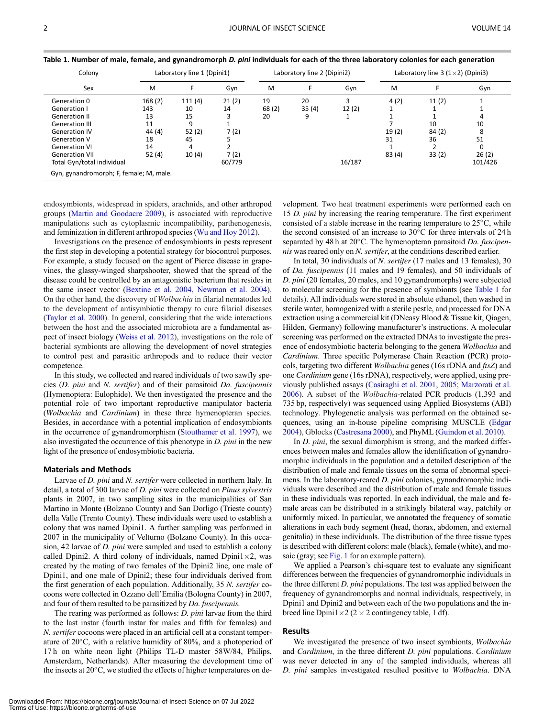| Colony<br>Sex                           | Laboratory line 1 (Dpini1) |         |        | Laboratory line 2 (Dipini2) |       |        | Laboratory line 3 $(1\times2)$ (Dpini3) |       |          |
|-----------------------------------------|----------------------------|---------|--------|-----------------------------|-------|--------|-----------------------------------------|-------|----------|
|                                         | M                          |         | Gyn    | M                           | F.    | Gyn    | M                                       |       | Gyn      |
| Generation 0                            | 168(2)                     | 111 (4) | 21(2)  | 19                          | 20    | 3      | 4(2)                                    | 11(2) |          |
| Generation I                            | 143                        | 10      | 14     | 68(2)                       | 35(4) | 12(2)  |                                         |       |          |
| Generation II                           | 13                         | 15      |        | 20                          | 9     |        |                                         |       |          |
| Generation III                          | 11                         |         |        |                             |       |        |                                         | 10    | 10       |
| <b>Generation IV</b>                    | 44 (4)                     | 52(2)   | 7(2)   |                             |       |        | 19(2)                                   | 84(2) | 8        |
| <b>Generation V</b>                     | 18                         | 45      |        |                             |       |        | 31                                      | 36    | 51       |
| <b>Generation VI</b>                    | 14                         | 4       |        |                             |       |        |                                         |       | $\Omega$ |
| <b>Generation VII</b>                   | 52(4)                      | 10(4)   | 7 (2)  |                             |       |        | 83 (4)                                  | 33(2) | 26(2)    |
| Total Gyn/total individual              |                            |         | 60/779 |                             |       | 16/187 |                                         |       | 101/426  |
| Gyn, gynandromorph; F, female; M, male. |                            |         |        |                             |       |        |                                         |       |          |

<span id="page-2-0"></span>Table 1. Number of male, female, and gynandromorph D. pini individuals for each of the three laboratory colonies for each generation

endosymbionts, widespread in spiders, arachnids, and other arthropod groups ([Martin and Goodacre 2009](#page-5-0)), is associated with reproductive manipulations such as cytoplasmic incompatibility, parthenogenesis, and feminization in different arthropod species [\(Wu and Hoy 2012](#page-5-0)).

Investigations on the presence of endosymbionts in pests represent the first step in developing a potential strategy for biocontrol purposes. For example, a study focused on the agent of Pierce disease in grapevines, the glassy-winged sharpshooter, showed that the spread of the disease could be controlled by an antagonistic bacterium that resides in the same insect vector ([Bextine et al. 2004](#page-5-0), [Newman et al. 2004\)](#page-5-0). On the other hand, the discovery of Wolbachia in filarial nematodes led to the development of antisymbiotic therapy to cure filarial diseases ([Taylor et al. 2000](#page-5-0)). In general, considering that the wide interactions between the host and the associated microbiota are a fundamental aspect of insect biology ([Weiss et al. 2012](#page-5-0)), investigations on the role of bacterial symbionts are allowing the development of novel strategies to control pest and parasitic arthropods and to reduce their vector competence.

In this study, we collected and reared individuals of two sawfly species (D. pini and N. sertifer) and of their parasitoid Da. fuscipennis (Hymenoptera: Eulophide). We then investigated the presence and the potential role of two important reproductive manipulator bacteria (Wolbachia and Cardinium) in these three hymenopteran species. Besides, in accordance with a potential implication of endosymbionts in the occurrence of gynandromorphism [\(Stouthamer et al. 1997\)](#page-5-0), we also investigated the occurrence of this phenotype in  $D$ . pini in the new light of the presence of endosymbiotic bacteria.

#### Materials and Methods

Larvae of D. pini and N. sertifer were collected in northern Italy. In detail, a total of 300 larvae of *D. pini* were collected on *Pinus sylvestris* plants in 2007, in two sampling sites in the municipalities of San Martino in Monte (Bolzano County) and San Dorligo (Trieste county) della Valle (Trento County). These individuals were used to establish a colony that was named Dpini1. A further sampling was performed in 2007 in the municipality of Velturno (Bolzano County). In this occasion, 42 larvae of D. pini were sampled and used to establish a colony called Dpini2. A third colony of individuals, named Dpini $1 \times 2$ , was created by the mating of two females of the Dpini2 line, one male of Dpini1, and one male of Dpini2; these four individuals derived from the first generation of each population. Additionally, 35 N. sertifer cocoons were collected in Ozzano dell'Emilia (Bologna County) in 2007, and four of them resulted to be parasitized by Da. fuscipennis.

The rearing was performed as follows: *D. pini* larvae from the third to the last instar (fourth instar for males and fifth for females) and N. sertifer cocoons were placed in an artificial cell at a constant temperature of  $20^{\circ}$ C, with a relative humidity of 80%, and a photoperiod of 17 h on white neon light (Philips TL-D master 58W/84, Philips, Amsterdam, Netherlands). After measuring the development time of the insects at  $20^{\circ}$ C, we studied the effects of higher temperatures on development. Two heat treatment experiments were performed each on 15 D. pini by increasing the rearing temperature. The first experiment consisted of a stable increase in the rearing temperature to  $25^{\circ}$ C, while the second consisted of an increase to  $30^{\circ}$ C for three intervals of 24 h separated by 48 h at  $20^{\circ}$ C. The hymenopteran parasitoid *Da. fuscipen*nis was reared only on N. sertifer, at the conditions described earlier.

In total, 30 individuals of N. sertifer (17 males and 13 females), 30 of Da. fuscipennis (11 males and 19 females), and 50 individuals of D. pini (20 females, 20 males, and 10 gynandromorphs) were subjected to molecular screening for the presence of symbionts (see Table 1 for details). All individuals were stored in absolute ethanol, then washed in sterile water, homogenized with a sterile pestle, and processed for DNA extraction using a commercial kit (DNeasy Blood & Tissue kit, Qiagen, Hilden, Germany) following manufacturer's instructions. A molecular screening was performed on the extracted DNAs to investigate the presence of endosymbiotic bacteria belonging to the genera Wolbachia and Cardinium. Three specific Polymerase Chain Reaction (PCR) protocols, targeting two different *Wolbachia* genes (16s rDNA and *ftsZ*) and one Cardinium gene (16s rDNA), respectively, were applied, using previously published assays [\(Casiraghi et al. 2001](#page-5-0), [2005;](#page-5-0) [Marzorati et al.](#page-5-0) [2006](#page-5-0)). A subset of the Wolbachia-related PCR products (1,393 and 735 bp, respectively) was sequenced using Applied Biosystems (ABI) technology. Phylogenetic analysis was performed on the obtained se-quences, using an in-house pipeline comprising MUSCLE ([Edgar](#page-5-0) [2004](#page-5-0)), Gblocks [\(Castresana 2000\)](#page-5-0), and PhyML [\(Guindon et al. 2010](#page-5-0)).

In *D. pini*, the sexual dimorphism is strong, and the marked differences between males and females allow the identification of gynandromorphic individuals in the population and a detailed description of the distribution of male and female tissues on the soma of abnormal specimens. In the laboratory-reared *D. pini* colonies, gynandromorphic individuals were described and the distribution of male and female tissues in these individuals was reported. In each individual, the male and female areas can be distributed in a strikingly bilateral way, patchily or uniformly mixed. In particular, we annotated the frequency of somatic alterations in each body segment (head, thorax, abdomen, and external genitalia) in these individuals. The distribution of the three tissue types is described with different colors: male (black), female (white), and mosaic (gray; see [Fig. 1](#page-3-0) for an example pattern).

We applied a Pearson's chi-square test to evaluate any significant differences between the frequencies of gynandromorphic individuals in the three different D. pini populations. The test was applied between the frequency of gynandromorphs and normal individuals, respectively, in Dpini1 and Dpini2 and between each of the two populations and the inbreed line Dpini $1 \times 2$  (2  $\times$  2 contingency table, 1 df).

#### Results

We investigated the presence of two insect symbionts, Wolbachia and Cardinium, in the three different D. pini populations. Cardinium was never detected in any of the sampled individuals, whereas all D. pini samples investigated resulted positive to Wolbachia. DNA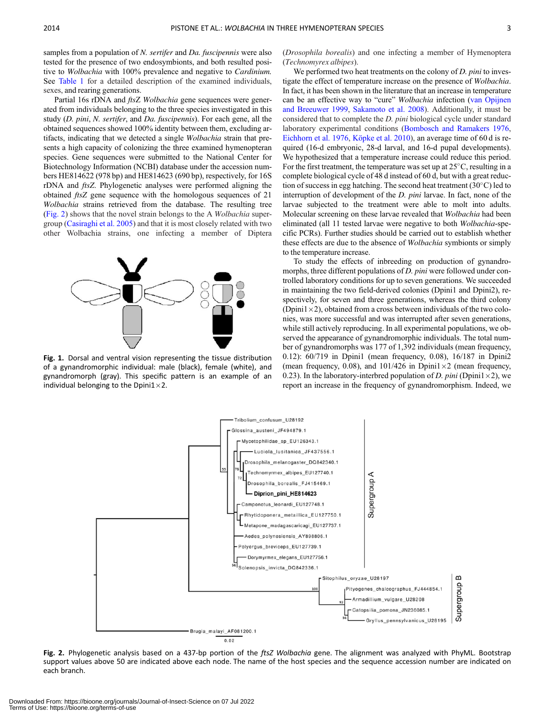<span id="page-3-0"></span>samples from a population of N. sertifer and Da. fuscipennis were also tested for the presence of two endosymbionts, and both resulted positive to Wolbachia with 100% prevalence and negative to Cardinium. See [Table 1](#page-2-0) for a detailed description of the examined individuals, sexes, and rearing generations.

Partial 16s rDNA and *ftsZ Wolbachia* gene sequences were generated from individuals belonging to the three species investigated in this study (D. pini, N. sertifer, and Da. fuscipennis). For each gene, all the obtained sequences showed 100% identity between them, excluding artifacts, indicating that we detected a single Wolbachia strain that presents a high capacity of colonizing the three examined hymenopteran species. Gene sequences were submitted to the National Center for Biotechnology Information (NCBI) database under the accession numbers HE814622 (978 bp) and HE814623 (690 bp), respectively, for 16S rDNA and *ftsZ*. Phylogenetic analyses were performed aligning the obtained ftsZ gene sequence with the homologous sequences of 21 Wolbachia strains retrieved from the database. The resulting tree (Fig. 2) shows that the novel strain belongs to the A Wolbachia supergroup ([Casiraghi et al. 2005\)](#page-5-0) and that it is most closely related with two other Wolbachia strains, one infecting a member of Diptera



Fig. 1. Dorsal and ventral vision representing the tissue distribution of a gynandromorphic individual: male (black), female (white), and gynandromorph (gray). This specific pattern is an example of an individual belonging to the Dpini $1\times 2$ .

(Drosophila borealis) and one infecting a member of Hymenoptera (Technomyrex albipes).

We performed two heat treatments on the colony of  $D$ .  $pini$  to investigate the effect of temperature increase on the presence of Wolbachia. In fact, it has been shown in the literature that an increase in temperature can be an effective way to "cure" Wolbachia infection [\(van Opijnen](#page-5-0) [and Breeuwer 1999](#page-5-0), [Sakamoto et al. 2008](#page-5-0)). Additionally, it must be considered that to complete the D. pini biological cycle under standard laboratory experimental conditions ([Bombosch and Ramakers 1976,](#page-5-0) [Eichhorn et al. 1976,](#page-5-0) Köpke et al. 2010), an average time of 60 d is required (16-d embryonic, 28-d larval, and 16-d pupal developments). We hypothesized that a temperature increase could reduce this period. For the first treatment, the temperature was set up at  $25^{\circ}$ C, resulting in a complete biological cycle of 48 d instead of 60 d, but with a great reduction of success in egg hatching. The second heat treatment  $(30^{\circ}C)$  led to interruption of development of the D. pini larvae. In fact, none of the larvae subjected to the treatment were able to molt into adults. Molecular screening on these larvae revealed that Wolbachia had been eliminated (all 11 tested larvae were negative to both Wolbachia-specific PCRs). Further studies should be carried out to establish whether these effects are due to the absence of Wolbachia symbionts or simply to the temperature increase.

To study the effects of inbreeding on production of gynandromorphs, three different populations of *D. pini* were followed under controlled laboratory conditions for up to seven generations. We succeeded in maintaining the two field-derived colonies (Dpini1 and Dpini2), respectively, for seven and three generations, whereas the third colony (Dpini $1 \times 2$ ), obtained from a cross between individuals of the two colonies, was more successful and was interrupted after seven generations, while still actively reproducing. In all experimental populations, we observed the appearance of gynandromorphic individuals. The total number of gynandromorphs was 177 of 1,392 individuals (mean frequency, 0.12): 60/719 in Dpini1 (mean frequency, 0.08), 16/187 in Dpini2 (mean frequency, 0.08), and  $101/426$  in Dpini $1 \times 2$  (mean frequency, 0.23). In the laboratory-interbred population of *D. pini* (Dpini $1 \times 2$ ), we report an increase in the frequency of gynandromorphism. Indeed, we



Fig. 2. Phylogenetic analysis based on a 437-bp portion of the ftsZ Wolbachia gene. The alignment was analyzed with PhyML. Bootstrap support values above 50 are indicated above each node. The name of the host species and the sequence accession number are indicated on each branch.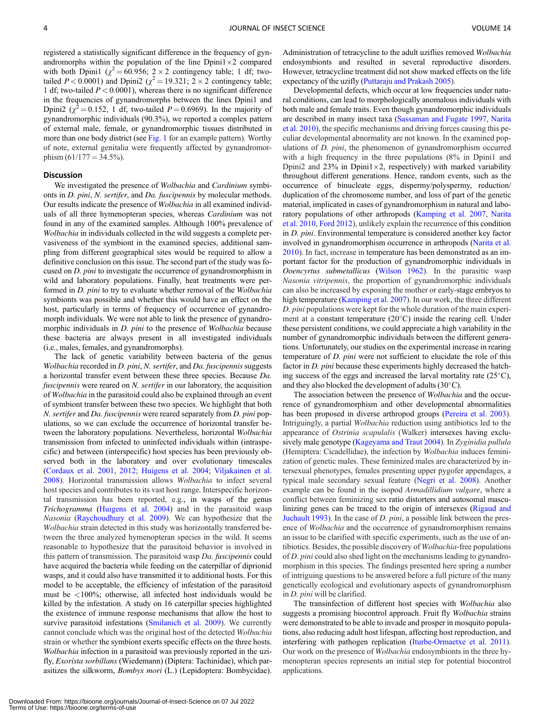registered a statistically significant difference in the frequency of gynandromorphs within the population of the line  $D$ pini $1\times2$  compared with both Dpini1 ( $\chi^2$  = 60.956; 2 × 2 contingency table; 1 df; twotailed  $P < 0.0001$ ) and Dpini2 ( $\chi^2 = 19.321$ ; 2 × 2 contingency table; 1 df; two-tailed  $P < 0.0001$ ), whereas there is no significant difference in the frequencies of gynandromorphs between the lines Dpini1 and Dpini2 ( $\chi^2$  = 0.152, 1 df, two-tailed *P* = 0.6969). In the majority of gynandromorphic individuals (90.3%), we reported a complex pattern of external male, female, or gynandromorphic tissues distributed in more than one body district (see [Fig. 1](#page-3-0) for an example pattern). Worthy of note, external genitalia were frequently affected by gynandromorphism  $(61/177 = 34.5\%)$ .

#### Discussion

We investigated the presence of *Wolbachia* and *Cardinium* symbionts in D. pini, N. sertifer, and Da. fuscipennis by molecular methods. Our results indicate the presence of Wolbachia in all examined individuals of all three hymenopteran species, whereas Cardinium was not found in any of the examined samples. Although 100% prevalence of Wolbachia in individuals collected in the wild suggests a complete pervasiveness of the symbiont in the examined species, additional sampling from different geographical sites would be required to allow a definitive conclusion on this issue. The second part of the study was focused on D. pini to investigate the occurrence of gynandromorphism in wild and laboratory populations. Finally, heat treatments were performed in *D. pini* to try to evaluate whether removal of the Wolbachia symbionts was possible and whether this would have an effect on the host, particularly in terms of frequency of occurrence of gynandromorph individuals. We were not able to link the presence of gynandromorphic individuals in *D. pini* to the presence of *Wolbachia* because these bacteria are always present in all investigated individuals (i.e., males, females, and gynandromorphs).

The lack of genetic variability between bacteria of the genus Wolbachia recorded in D. pini, N. sertifer, and Da. fuscipennis suggests a horizontal transfer event between these three species. Because Da. fuscipennis were reared on N. sertifer in our laboratory, the acquisition of Wolbachia in the parasitoid could also be explained through an event of symbiont transfer between these two species. We highlight that both N. sertifer and Da. fuscipennis were reared separately from D. pini populations, so we can exclude the occurrence of horizontal transfer between the laboratory populations. Nevertheless, horizontal Wolbachia transmission from infected to uninfected individuals within (intraspecific) and between (interspecific) host species has been previously observed both in the laboratory and over evolutionary timescales ([Cordaux et al. 2001,](#page-5-0) [2012](#page-5-0); [Huigens et al. 2004](#page-5-0); [Viljakainen et al.](#page-5-0) [2008\)](#page-5-0). Horizontal transmission allows Wolbachia to infect several host species and contributes to its vast host range. Interspecific horizontal transmission has been reported, e.g., in wasps of the genus Trichogramma ([Huigens et al. 2004\)](#page-5-0) and in the parasitoid wasp Nasonia ([Raychoudhury et al. 2009](#page-5-0)). We can hypothesize that the Wolbachia strain detected in this study was horizontally transferred between the three analyzed hymenopteran species in the wild. It seems reasonable to hypothesize that the parasitoid behavior is involved in this pattern of transmission. The parasitoid wasp Da. fuscipennis could have acquired the bacteria while feeding on the caterpillar of diprionid wasps, and it could also have transmitted it to additional hosts. For this model to be acceptable, the efficiency of infestation of the parasitoid must be <100%; otherwise, all infected host individuals would be killed by the infestation. A study on 16 caterpillar species highlighted the existence of immune response mechanisms that allow the host to survive parasitoid infestations ([Smilanich et al. 2009\)](#page-5-0). We currently cannot conclude which was the original host of the detected Wolbachia strain or whether the symbiont exerts specific effects on the three hosts. Wolbachia infection in a parasitoid was previously reported in the uzifly, Exorista sorbillans (Wiedemann) (Diptera: Tachinidae), which parasitizes the silkworm, Bombyx mori (L.) (Lepidoptera: Bombycidae).

Administration of tetracycline to the adult uziflies removed Wolbachia endosymbionts and resulted in several reproductive disorders. However, tetracycline treatment did not show marked effects on the life expectancy of the uzifly [\(Puttaraju and Prakash 2005\)](#page-5-0).

Developmental defects, which occur at low frequencies under natural conditions, can lead to morphologically anomalous individuals with both male and female traits. Even though gynandromorphic individuals are described in many insect taxa [\(Sassaman and Fugate 1997,](#page-5-0) [Narita](#page-5-0) [et al. 2010\)](#page-5-0), the specific mechanisms and driving forces causing this peculiar developmental abnormality are not known. In the examined populations of D. pini, the phenomenon of gynandromorphism occurred with a high frequency in the three populations (8% in Dpini1 and Dpini2 and  $23\%$  in Dpini1 $\times$ 2, respectively) with marked variability throughout different generations. Hence, random events, such as the occurrence of binucleate eggs, dispermy/polyspermy, reduction/ duplication of the chromosome number, and loss of part of the genetic material, implicated in cases of gynandromorphism in natural and laboratory populations of other arthropods [\(Kamping et al. 2007](#page-5-0), [Narita](#page-5-0) [et al. 2010](#page-5-0), [Ford 2012](#page-5-0)), unlikely explain the recurrence of this condition in D. pini. Environmental temperature is considered another key factor involved in gynandromorphism occurrence in arthropods ([Narita et al.](#page-5-0) [2010](#page-5-0)). In fact, increase in temperature has been demonstrated as an important factor for the production of gynandromorphic individuals in Ooencyrtus submetallicus ([Wilson 1962](#page-5-0)). In the parasitic wasp Nasonia vitripennis, the proportion of gynandromorphic individuals can also be increased by exposing the mother or early-stage embryos to high temperature ([Kamping et al. 2007\)](#page-5-0). In our work, the three different D. pini populations were kept for the whole duration of the main experiment at a constant temperature  $(20^{\circ}C)$  inside the rearing cell. Under these persistent conditions, we could appreciate a high variability in the number of gynandromorphic individuals between the different generations. Unfortunately, our studies on the experimental increase in rearing temperature of D. pini were not sufficient to elucidate the role of this factor in D. pini because these experiments highly decreased the hatching success of the eggs and increased the larval mortality rate  $(25^{\circ}C)$ , and they also blocked the development of adults  $(30^{\circ}C)$ .

The association between the presence of Wolbachia and the occurrence of gynandromorphism and other developmental abnormalities has been proposed in diverse arthropod groups [\(Pereira et al. 2003\)](#page-5-0). Intriguingly, a partial Wolbachia reduction using antibiotics led to the appearance of Ostrinia scapulalis (Walker) intersexes having exclu-sively male genotype [\(Kageyama and Traut 2004](#page-5-0)). In Zyginidia pullula (Hemiptera: Cicadellidae), the infection by Wolbachia induces feminization of genetic males. These feminized males are characterized by intersexual phenotypes, females presenting upper pygofer appendages, a typical male secondary sexual feature [\(Negri et al. 2008\)](#page-5-0). Another example can be found in the isopod Armadillidium vulgare, where a conflict between feminizing sex ratio distorters and autosomal masculinizing genes can be traced to the origin of intersexes ([Rigaud and](#page-5-0) [Juchault 1993\)](#page-5-0). In the case of D. pini, a possible link between the presence of Wolbachia and the occurrence of gynandromorphism remains an issue to be clarified with specific experiments, such as the use of antibiotics. Besides, the possible discovery of Wolbachia-free populations of D. pini could also shed light on the mechanisms leading to gynandromorphism in this species. The findings presented here spring a number of intriguing questions to be answered before a full picture of the many genetically ecological and evolutionary aspects of gynandromorphism in D. pini will be clarified.

The transinfection of different host species with Wolbachia also suggests a promising biocontrol approach. Fruit fly Wolbachia strains were demonstrated to be able to invade and prosper in mosquito populations, also reducing adult host lifespan, affecting host reproduction, and interfering with pathogen replication ([Iturbe-Ormaetxe et al. 2011\)](#page-5-0). Our work on the presence of Wolbachia endosymbionts in the three hymenopteran species represents an initial step for potential biocontrol applications.